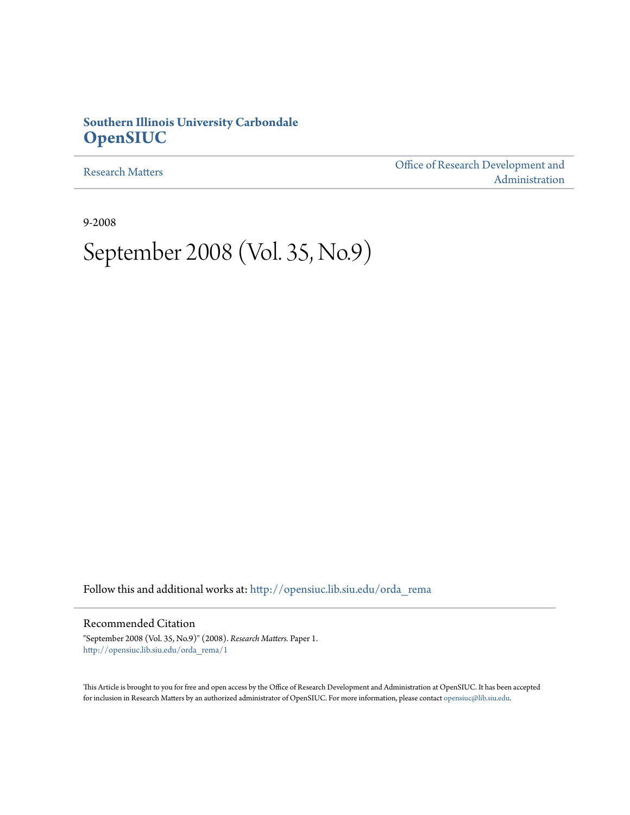# **Southern Illinois University Carbondale [OpenSIUC](http://opensiuc.lib.siu.edu?utm_source=opensiuc.lib.siu.edu%2Forda_rema%2F1&utm_medium=PDF&utm_campaign=PDFCoverPages)**

[Research Matters](http://opensiuc.lib.siu.edu/orda_rema?utm_source=opensiuc.lib.siu.edu%2Forda_rema%2F1&utm_medium=PDF&utm_campaign=PDFCoverPages)

[Office of Research Development and](http://opensiuc.lib.siu.edu/orda?utm_source=opensiuc.lib.siu.edu%2Forda_rema%2F1&utm_medium=PDF&utm_campaign=PDFCoverPages) [Administration](http://opensiuc.lib.siu.edu/orda?utm_source=opensiuc.lib.siu.edu%2Forda_rema%2F1&utm_medium=PDF&utm_campaign=PDFCoverPages)

9-2008

# September 2008 (Vol. 35, No.9)

Follow this and additional works at: [http://opensiuc.lib.siu.edu/orda\\_rema](http://opensiuc.lib.siu.edu/orda_rema?utm_source=opensiuc.lib.siu.edu%2Forda_rema%2F1&utm_medium=PDF&utm_campaign=PDFCoverPages)

Recommended Citation

"September 2008 (Vol. 35, No.9)" (2008). *Research Matters.* Paper 1. [http://opensiuc.lib.siu.edu/orda\\_rema/1](http://opensiuc.lib.siu.edu/orda_rema/1?utm_source=opensiuc.lib.siu.edu%2Forda_rema%2F1&utm_medium=PDF&utm_campaign=PDFCoverPages)

This Article is brought to you for free and open access by the Office of Research Development and Administration at OpenSIUC. It has been accepted for inclusion in Research Matters by an authorized administrator of OpenSIUC. For more information, please contact [opensiuc@lib.siu.edu](mailto:opensiuc@lib.siu.edu).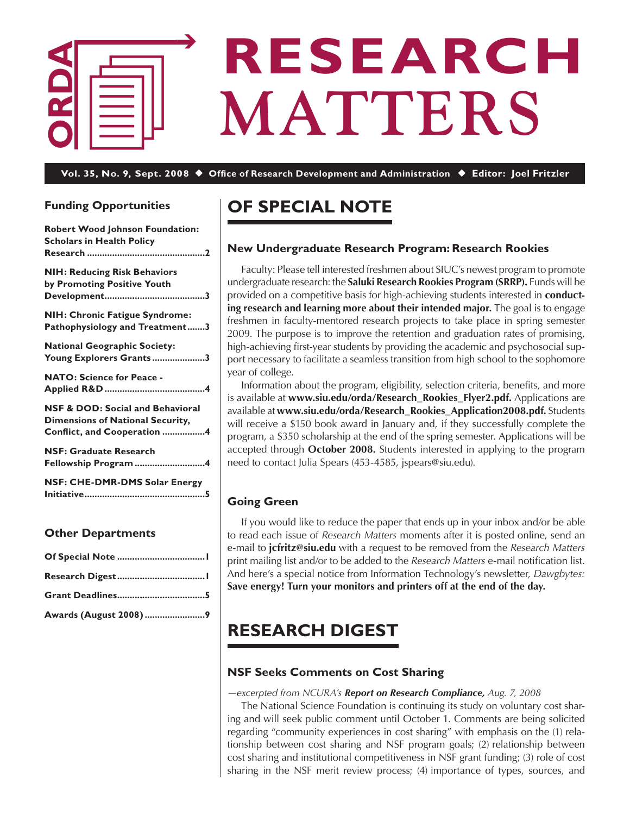

# **RESEARCH MATTERS**

**Vol. 35, No. 9, Sept. 2008** ◆ **Office of Research Development and Administration** ◆ **Editor: Joel Fritzler**

# **Funding Opportunities**

| <b>Robert Wood Johnson Foundation:</b><br><b>Scholars in Health Policy</b>                                            |
|-----------------------------------------------------------------------------------------------------------------------|
| <b>NIH: Reducing Risk Behaviors</b><br>by Promoting Positive Youth                                                    |
| <b>NIH: Chronic Fatigue Syndrome:</b><br>Pathophysiology and Treatment3                                               |
| <b>National Geographic Society:</b><br>Young Explorers Grants3                                                        |
| <b>NATO: Science for Peace -</b>                                                                                      |
| <b>NSF &amp; DOD: Social and Behavioral</b><br><b>Dimensions of National Security,</b><br>Conflict, and Cooperation 4 |
| <b>NSF: Graduate Research</b><br>Fellowship Program 4                                                                 |
| NSF: CHE-DMR-DMS Solar Energy                                                                                         |

# **Other Departments**

| Awards (August 2008) 9 |  |
|------------------------|--|

# **Of Special Note**

# **New Undergraduate Research Program: Research Rookies**

 Faculty: Please tell interested freshmen about SIUC's newest program to promote undergraduate research: the **Saluki Research Rookies Program (SRRP).** Funds will be provided on a competitive basis for high-achieving students interested in **conducting research and learning more about their intended major.** The goal is to engage freshmen in faculty-mentored research projects to take place in spring semester 2009. The purpose is to improve the retention and graduation rates of promising, high-achieving first-year students by providing the academic and psychosocial support necessary to facilitate a seamless transition from high school to the sophomore year of college.

 Information about the program, eligibility, selection criteria, benefits, and more is available at **www.siu.edu/orda/Research\_Rookies\_Flyer2.pdf.** Applications are available at **www.siu.edu/orda/Research\_Rookies\_Application2008.pdf.** Students will receive a \$150 book award in January and, if they successfully complete the program, a \$350 scholarship at the end of the spring semester. Applications will be accepted through **October 2008.** Students interested in applying to the program need to contact Julia Spears (453-4585, jspears@siu.edu).

# **Going Green**

 If you would like to reduce the paper that ends up in your inbox and/or be able to read each issue of *Research Matters* moments after it is posted online, send an e-mail to **jcfritz@siu.edu** with a request to be removed from the *Research Matters* print mailing list and/or to be added to the *Research Matters* e-mail notification list. And here's a special notice from Information Technology's newsletter, *Dawgbytes:* **Save energy! Turn your monitors and printers off at the end of the day.** 

# **Research Digest**

# **NSF Seeks Comments on Cost Sharing**

*—excerpted from NCURA's Report on Research Compliance, Aug. 7, 2008*

 The National Science Foundation is continuing its study on voluntary cost sharing and will seek public comment until October 1. Comments are being solicited regarding "community experiences in cost sharing" with emphasis on the (1) relationship between cost sharing and NSF program goals; (2) relationship between cost sharing and institutional competitiveness in NSF grant funding; (3) role of cost sharing in the NSF merit review process; (4) importance of types, sources, and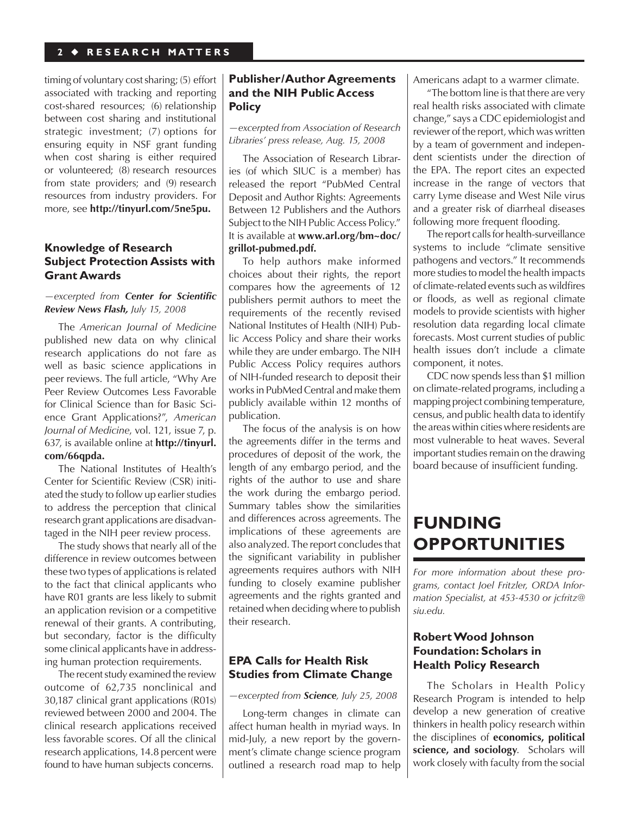#### <span id="page-2-0"></span> **2** ◆ **R E S E A R C H M A T T E R S**

timing of voluntary costsharing; (5) effort associated with tracking and reporting cost-shared resources; (6) relationship between cost sharing and institutional strategic investment; (7) options for ensuring equity in NSF grant funding when cost sharing is either required or volunteered; (8) research resources from state providers; and (9) research resources from industry providers. For more, see **http://tinyurl.com/5ne5pu.**

## **Knowledge of Research Subject Protection Assists with Grant Awards**

#### *—excerpted from Center for Scientific Review News Flash, July 15, 2008*

 The *American Journal of Medicine*  published new data on why clinical research applications do not fare as well as basic science applications in peer reviews. The full article, "Why Are Peer Review Outcomes Less Favorable for Clinical Science than for Basic Science Grant Applications?", *American Journal of Medicine*, vol. 121, issue 7, p. 637, is available online at **[http://tinyurl.](http://tinyurl.com/66qpda) [com/66qpda.](http://tinyurl.com/66qpda)**

The National Institutes of Health's Center for Scientific Review (CSR) initiated the study to follow up earlier studies to address the perception that clinical research grant applications are disadvantaged in the NIH peer review process.

 The study shows that nearly all of the difference in review outcomes between these two types of applications is related to the fact that clinical applicants who have R01 grants are less likely to submit an application revision or a competitive renewal of their grants. A contributing, but secondary, factor is the difficulty some clinical applicants have in addressing human protection requirements.

The recent study examined the review outcome of 62,735 nonclinical and 30,187 clinical grant applications (R01s) reviewed between 2000 and 2004. The clinical research applications received less favorable scores. Of all the clinical research applications, 14.8 percent were found to have human subjects concerns.

# **Publisher/Author Agreements and the NIH Public Access Policy**

#### *—excerpted from Association of Research Libraries' press release, Aug. 15, 2008*

 The Association of Research Libraries (of which SIUC is a member) has released the report "PubMed Central Deposit and Author Rights: Agreements Between 12 Publishers and the Authors Subject to the NIH Public Access Policy." It is available at **www.arl.org/bm~doc/ grillot-pubmed.pdf.** 

To help authors make informed choices about their rights, the report compares how the agreements of 12 publishers permit authors to meet the requirements of the recently revised National Institutes of Health (NIH) Public Access Policy and share their works while they are under embargo. The NIH Public Access Policy requires authors of NIH-funded research to deposit their works in PubMed Central and make them publicly available within 12 months of publication.

 The focus of the analysis is on how the agreements differ in the terms and procedures of deposit of the work, the length of any embargo period, and the rights of the author to use and share the work during the embargo period. Summary tables show the similarities and differences across agreements. The implications of these agreements are also analyzed. The report concludes that the significant variability in publisher agreements requires authors with NIH funding to closely examine publisher agreements and the rights granted and retained when deciding where to publish their research.

#### **EPA Calls for Health Risk Studies from Climate Change**

#### *—excerpted from Science, July 25, 2008*

 Long-term changes in climate can affect human health in myriad ways. In mid-July, a new report by the government's climate change science program outlined a research road map to help Americans adapt to a warmer climate.

 "The bottom line isthat there are very real health risks associated with climate change," says a CDC epidemiologist and reviewer of the report, which was written by a team of government and independent scientists under the direction of the EPA. The report cites an expected increase in the range of vectors that carry Lyme disease and West Nile virus and a greater risk of diarrheal diseases following more frequent flooding.

The report calls for health-surveillance systems to include "climate sensitive pathogens and vectors." It recommends more studies to model the health impacts of climate-related eventssuch as wildfires or floods, as well as regional climate models to provide scientists with higher resolution data regarding local climate forecasts. Most current studies of public health issues don't include a climate component, it notes.

CDC now spends less than \$1 million on climate-related programs, including a mapping project combining temperature, census, and public health data to identify the areas within cities where residents are most vulnerable to heat waves. Several important studies remain on the drawing board because of insufficient funding.

# **Funding Opportunities**

*For more information about these programs, contact Joel Fritzler, ORDA Information Specialist, at 453-4530 or jcfritz@ siu.edu.*

# **Robert Wood Johnson Foundation: Scholars in Health Policy Research**

 The Scholars in Health Policy Research Program is intended to help develop a new generation of creative thinkers in health policy research within the disciplines of **economics, political science, and sociology**. Scholars will work closely with faculty from the social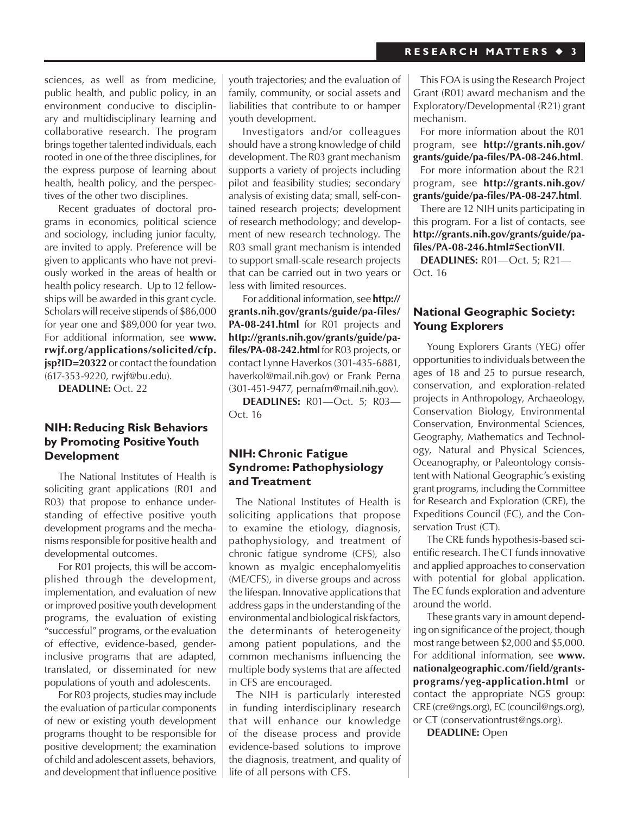<span id="page-3-0"></span>sciences, as well as from medicine, public health, and public policy, in an environment conducive to disciplinary and multidisciplinary learning and collaborative research. The program brings together talented individuals, each rooted in one of the three disciplines, for the express purpose of learning about health, health policy, and the perspectives of the other two disciplines.

 Recent graduates of doctoral programs in economics, political science and sociology, including junior faculty, are invited to apply. Preference will be given to applicants who have not previously worked in the areas of health or health policy research. Up to 12 fellowships will be awarded in this grant cycle. Scholars will receive stipends of \$86,000 for year one and \$89,000 for year two. For additional information, see **www. [rwjf.org/applications/solicited/cfp.](www.rwjf.org/applications/solicited/cfp.jsp?ID=20322) jsp?ID=20322** or contact the foundation (617-353-9220, rwjf@bu.edu).

**DEADLINE:** Oct. 22

## **NIH: Reducing Risk Behaviors by Promoting Positive Youth Development**

 The National Institutes of Health is soliciting grant applications (R01 and R03) that propose to enhance understanding of effective positive youth development programs and the mechanisms responsible for positive health and developmental outcomes.

 For R01 projects, this will be accomplished through the development, implementation, and evaluation of new or improved positive youth development programs, the evaluation of existing "successful" programs, or the evaluation of effective, evidence-based, genderinclusive programs that are adapted, translated, or disseminated for new populations of youth and adolescents.

For R03 projects, studies may include the evaluation of particular components of new or existing youth development programs thought to be responsible for positive development; the examination of child and adolescent assets, behaviors, and development that influence positive youth trajectories; and the evaluation of family, community, or social assets and liabilities that contribute to or hamper youth development.

 Investigators and/or colleagues should have a strong knowledge of child development. The R03 grant mechanism supports a variety of projects including pilot and feasibility studies; secondary analysis of existing data; small, self-contained research projects; development of research methodology; and development of new research technology. The R03 small grant mechanism is intended to support small-scale research projects that can be carried out in two years or less with limited resources.

For additional information, see **[http://](http://grants.nih.gov/grants/guide/pa-files/PA-08-241.html) [grants.nih.gov/grants/guide/pa-files/](http://grants.nih.gov/grants/guide/pa-files/PA-08-241.html)** [PA-08-241.html](http://grants.nih.gov/grants/guide/pa-files/PA-08-241.html) for R01 projects and **[http://grants.nih.gov/grants/guide/pa](http://grants.nih.gov/grants/guide/pa-files/PA-08-242.html)[files/PA-08-242.html](http://grants.nih.gov/grants/guide/pa-files/PA-08-242.html)** for R03 projects, or contact Lynne Haverkos (301-435-6881, haverkol@mail.nih.gov) or Frank Perna (301-451-9477, pernafm@mail.nih.gov).

**DEADLINES:** R01—Oct. 5; R03— Oct. 16

# **NIH: Chronic Fatigue Syndrome: Pathophysiology and Treatment**

 The National Institutes of Health is soliciting applications that propose to examine the etiology, diagnosis, pathophysiology, and treatment of chronic fatigue syndrome (CFS), also known as myalgic encephalomyelitis (ME/CFS), in diverse groups and across the lifespan. Innovative applications that address gaps in the understanding of the environmental and biological risk factors, the determinants of heterogeneity among patient populations, and the common mechanisms influencing the multiple body systems that are affected in CFS are encouraged.

 The NIH is particularly interested in funding interdisciplinary research that will enhance our knowledge of the disease process and provide evidence-based solutions to improve the diagnosis, treatment, and quality of life of all persons with CFS.

 This FOA is using the Research Project Grant (R01) award mechanism and the Exploratory/Developmental (R21) grant mechanism.

For more information about the R01 program, see **[http://grants.nih.gov/](http://grants.nih.gov/grants/guide/pa-files/PA-08-246.html) [grants/guide/pa-files/PA-08-246.html](http://grants.nih.gov/grants/guide/pa-files/PA-08-246.html)**.

 For more information about the R21 program, see **[http://grants.nih.gov/](http://grants.nih.gov/grants/guide/pa-files/PA-08-247.html) [grants/guide/pa-files/PA-08-247.html](http://grants.nih.gov/grants/guide/pa-files/PA-08-247.html)**.

There are 12 NIH units participating in this program. For a list of contacts, see **[http://grants.nih.gov/grants/guide/pa](http://grants.nih.gov/grants/guide/pa-files/PA-08-246.html#SectionVII)[files/PA-08-246.html#SectionVII](http://grants.nih.gov/grants/guide/pa-files/PA-08-246.html#SectionVII)**.

**DEADLINES:** R01—Oct. 5; R21— Oct. 16

## **National Geographic Society: Young Explorers**

 Young Explorers Grants (YEG) offer opportunitiesto individuals between the ages of 18 and 25 to pursue research, conservation, and exploration-related projects in Anthropology, Archaeology, Conservation Biology, Environmental Conservation, Environmental Sciences, Geography, Mathematics and Technology, Natural and Physical Sciences, Oceanography, or Paleontology consistent with National Geographic's existing grant programs, including theCommittee for Research and Exploration (CRE), the Expeditions Council (EC), and the Conservation Trust (CT).

 The CRE funds hypothesis-based scientific research. The CT funds innovative and applied approaches to conservation with potential for global application. The EC funds exploration and adventure around the world.

 These grants vary in amount depending on significance of the project, though most range between \$2,000 and \$5,000. For additional information, see **www. [nationalgeographic.com/field/grants](www.nationalgeographic.com/field/grants-programs/yeg-application.html)programs/yeg-application.html** or contact the appropriate NGS group: CRE (cre@ngs.org), EC(council@ngs.org), or CT (conservationtrust@ngs.org).

**DEADLINE:** Open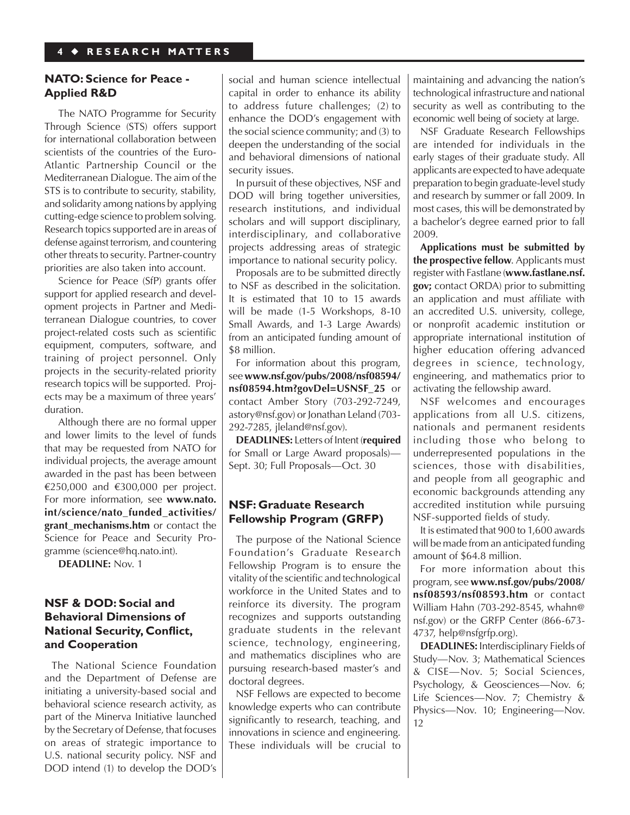# <span id="page-4-0"></span>**NATO: Science for Peace - Applied R&D**

 The NATO Programme for Security Through Science (STS) offers support for international collaboration between scientists of the countries of the Euro-Atlantic Partnership Council or the Mediterranean Dialogue. The aim of the STS is to contribute to security, stability, and solidarity among nations by applying cutting-edge science to problem solving. Research topics supported are in areas of defense against terrorism, and countering other threats to security. Partner-country priorities are also taken into account.

 Science for Peace (SfP) grants offer support for applied research and development projects in Partner and Mediterranean Dialogue countries, to cover project-related costs such as scientific equipment, computers, software, and training of project personnel. Only projects in the security-related priority research topics will be supported. Projects may be a maximum of three years' duration.

Although there are no formal upper and lower limits to the level of funds that may be requested from NATO for individual projects, the average amount awarded in the past has been between €250,000 and €300,000 per project. For more information, see **www.nato. [int/science/nato\\_funded\\_activities/](www.nato.int/science/nato_funded_activities/grant_mechanisms.htm)** grant mechanisms.htm or contact the Science for Peace and Security Programme (science@hq.nato.int).

**DEADLINE:** Nov. 1

# **NSF & DOD: Social and Behavioral Dimensions of National Security, Conflict, and Cooperation**

 The National Science Foundation and the Department of Defense are initiating a university-based social and behavioral science research activity, as part of the Minerva Initiative launched by the Secretary of Defense, that focuses on areas of strategic importance to U.S. national security policy. NSF and DOD intend (1) to develop the DOD's social and human science intellectual capital in order to enhance its ability to address future challenges; (2) to enhance the DOD's engagement with the social science community; and (3) to deepen the understanding of the social and behavioral dimensions of national security issues.

 In pursuit of these objectives, NSF and DOD will bring together universities, research institutions, and individual scholars and will support disciplinary, interdisciplinary, and collaborative projects addressing areas of strategic importance to national security policy.

 Proposals are to be submitted directly to NSF as described in the solicitation. It is estimated that 10 to 15 awards will be made (1-5 Workshops, 8-10 Small Awards, and 1-3 Large Awards) from an anticipated funding amount of \$8 million.

 For information about this program, see **www.nsf.gov/pubs/2008/nsf08594/ [nsf08594.htm?govDel=USNSF\\_25](www.nsf.gov/pubs/2008/nsf08594/nsf08594.htm?govDel=USNSF_25)** or contact Amber Story (703-292-7249, astory@nsf.gov) or Jonathan Leland (703- 292-7285, jleland@nsf.gov).

**DEADLINES:** Letters of Intent (**required** for Small or Large Award proposals)— Sept. 30; Full Proposals—Oct. 30

## **NSF: Graduate Research Fellowship Program (GRFP)**

 The purpose of the National Science Foundation's Graduate Research Fellowship Program is to ensure the vitality of the scientific and technological workforce in the United States and to reinforce its diversity. The program recognizes and supports outstanding graduate students in the relevant science, technology, engineering, and mathematics disciplines who are pursuing research-based master's and doctoral degrees.

 NSF Fellows are expected to become knowledge experts who can contribute significantly to research, teaching, and innovations in science and engineering. These individuals will be crucial to maintaining and advancing the nation's technological infrastructure and national security as well as contributing to the economic well being of society at large.

 NSF Graduate Research Fellowships are intended for individuals in the early stages of their graduate study. All applicants are expected to have adequate preparation to begin graduate-level study and research by summer or fall 2009. In most cases, this will be demonstrated by a bachelor's degree earned prior to fall 2009.

**Applications must be submitted by the prospective fellow**. Applicants must register with Fastlane (**www.fastlane.nsf. gov;** contact ORDA) prior to submitting an application and must affiliate with an accredited U.S. university, college, or nonprofit academic institution or appropriate international institution of higher education offering advanced degrees in science, technology, engineering, and mathematics prior to activating the fellowship award.

 NSF welcomes and encourages applications from all U.S. citizens, nationals and permanent residents including those who belong to underrepresented populations in the sciences, those with disabilities, and people from all geographic and economic backgrounds attending any accredited institution while pursuing NSF-supported fields of study.

 It is estimated that 900 to 1,600 awards will be made from an anticipated funding amount of \$64.8 million.

 For more information about this program, see **[www.nsf.gov/pubs/2008/](www.nsf.gov/pubs/2008/nsf08593/nsf08593.htm) nsf08593/nsf08593.htm** or contact William Hahn (703-292-8545, whahn@ nsf.gov) or the GRFP Center (866-673- 4737, help@nsfgrfp.org).

**DEADLINES:** Interdisciplinary Fields of Study—Nov. 3; Mathematical Sciences & CISE—Nov. 5; Social Sciences, Psychology, & Geosciences—Nov. 6; Life Sciences—Nov. 7; Chemistry & Physics—Nov. 10; Engineering—Nov. 12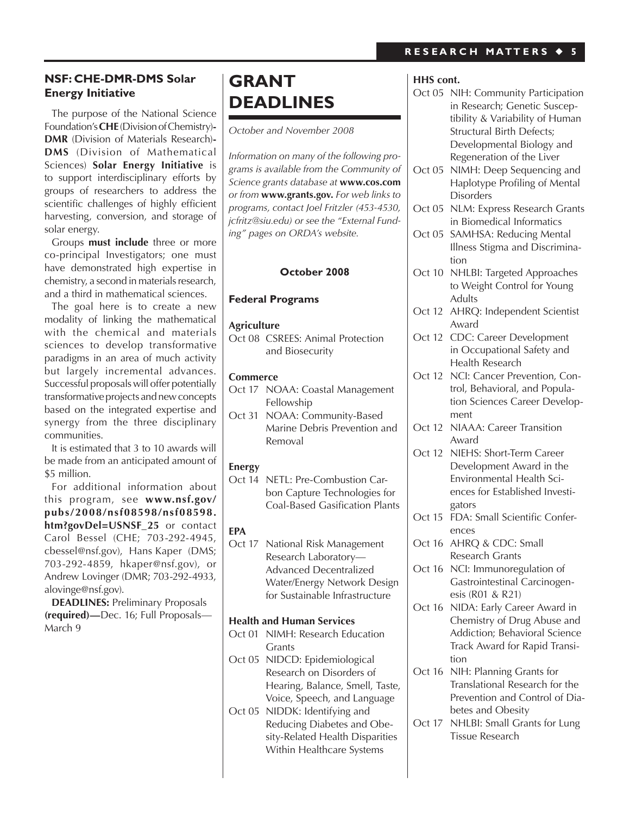# **NSF: CHE-DMR-DMS Solar Energy Initiative**

 The purpose of the National Science Foundation's**CHE**(DivisionofChemistry)**- DMR** (Division of Materials Research)**- DMS** (Division of Mathematical Sciences) **Solar Energy Initiative** is to support interdisciplinary efforts by groups of researchers to address the scientific challenges of highly efficient harvesting, conversion, and storage of solar energy.

 Groups **must include** three or more co-principal Investigators; one must have demonstrated high expertise in chemistry, a second in materials research, and a third in mathematical sciences.

 The goal here is to create a new modality of linking the mathematical with the chemical and materials sciences to develop transformative paradigms in an area of much activity but largely incremental advances. Successful proposals will offer potentially transformative projects and new concepts based on the integrated expertise and synergy from the three disciplinary communities.

 It is estimated that 3 to 10 awards will be made from an anticipated amount of \$5 million.

 For additional information about this program, see **www.nsf.gov/ pubs/2008/nsf08598/nsf08598. htm?govDel=USNSF\_25** or contact Carol Bessel (CHE; 703-292-4945, cbessel@nsf.gov), Hans Kaper (DMS; 703-292-4859, hkaper@nsf.gov), or Andrew Lovinger (DMR; 703-292-4933, alovinge@nsf.gov).

**DEADLINES: Preliminary Proposals (required)—**Dec. 16; Full Proposals— March 9

# **Grant Deadlines**

*October and November 2008*

*Information on many of the following programs is available from the Community of Science grants database at* **www.cos.com** *or from* **www.grants.gov.** *For web links to programs, contact Joel Fritzler (453-4530, jcfritz@siu.edu) or see the "External Funding" pages on ORDA's website.*

#### **October 2008**

#### **Federal Programs**

#### **Agriculture**

Oct 08 CSREES: Animal Protection and Biosecurity

#### **Commerce**

- Oct 17 NOAA: Coastal Management Fellowship
- Oct 31 NOAA: Community-Based Marine Debris Prevention and Removal

#### **Energy**

Oct 14 NETL: Pre-Combustion Carbon Capture Technologies for Coal-Based Gasification Plants

# **EPA**

Oct 17 National Risk Management Research Laboratory— Advanced Decentralized Water/Energy Network Design for Sustainable Infrastructure

#### **Health and Human Services**

- Oct 01 NIMH: Research Education **Grants**
- Oct 05 NIDCD: Epidemiological Research on Disorders of Hearing, Balance, Smell, Taste, Voice, Speech, and Language
- Oct 05 NIDDK: Identifying and Reducing Diabetes and Obesity-Related Health Disparities Within Healthcare Systems

# **HHS cont.**

- Oct 05 NIH: Community Participation in Research; Genetic Susceptibility & Variability of Human Structural Birth Defects; Developmental Biology and Regeneration of the Liver
- Oct 05 NIMH: Deep Sequencing and Haplotype Profiling of Mental Disorders
- Oct 05 NLM: Express Research Grants in Biomedical Informatics
- Oct 05 SAMHSA: Reducing Mental Illness Stigma and Discrimination
- Oct 10 NHLBI: Targeted Approaches to Weight Control for Young Adults
- Oct 12 AHRQ: Independent Scientist Award
- Oct 12 CDC: Career Development in Occupational Safety and Health Research
- Oct 12 NCI: Cancer Prevention, Control, Behavioral, and Population Sciences Career Development
- Oct 12 NIAAA: Career Transition Award
- Oct 12 NIEHS: Short-Term Career Development Award in the Environmental Health Sciences for Established Investigators
- Oct 15 FDA: Small Scientific Conferences
- Oct 16 AHRO & CDC: Small Research Grants
- Oct 16 NCI: Immunoregulation of Gastrointestinal Carcinogenesis (R01 & R21)
- Oct 16 NIDA: Early Career Award in Chemistry of Drug Abuse and Addiction; Behavioral Science Track Award for Rapid Transition
- Oct 16 NIH: Planning Grants for Translational Research for the Prevention and Control of Diabetes and Obesity
- Oct 17 NHLBI: Small Grants for Lung Tissue Research

# **R E S E A R C H M A T T E R S** ◆ **5**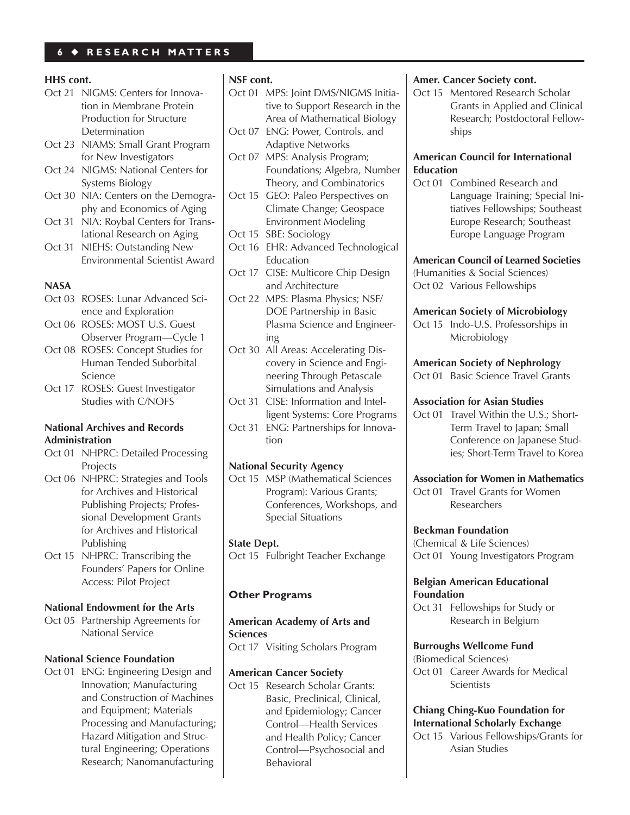# **6** ◆ **R E S E A R C H M A T T E R S**

#### **HHS cont.**

- Oct 21 NIGMS: Centers for Innovation in Membrane Protein Production for Structure Determination
- Oct 23 NIAMS: Small Grant Program for New Investigators
- Oct 24 NIGMS: National Centers for Systems Biology
- Oct 30 NIA: Centers on the Demography and Economics of Aging
- Oct 31 NIA: Roybal Centers for Translational Research on Aging
- Oct 31 NIEHS: Outstanding New Environmental Scientist Award

#### **NASA**

- Oct 03 ROSES: Lunar Advanced Science and Exploration
- Oct 06 ROSES: MOST U.S. Guest Observer Program—Cycle 1
- Oct 08 ROSES: Concept Studies for Human Tended Suborbital Science
- Oct 17 ROSES: Guest Investigator Studies with C/NOFS

#### **National Archives and Records Administration**

- Oct 01 NHPRC: Detailed Processing Projects
- Oct 06 NHPRC: Strategies and Tools for Archives and Historical Publishing Projects; Professional Development Grants for Archives and Historical Publishing
- Oct 15 NHPRC: Transcribing the Founders' Papers for Online Access: Pilot Project

#### **National Endowment for the Arts**

Oct 05 Partnership Agreements for National Service

#### **National Science Foundation**

Oct 01 ENG: Engineering Design and Innovation; Manufacturing and Construction of Machines and Equipment; Materials Processing and Manufacturing; Hazard Mitigation and Structural Engineering; Operations Research; Nanomanufacturing

#### **NSF cont.**

- Oct 01 MPS: Joint DMS/NIGMS Initiative to Support Research in the Area of Mathematical Biology
- Oct 07 ENG: Power, Controls, and Adaptive Networks
- Oct 07 MPS: Analysis Program; Foundations; Algebra, Number Theory, and Combinatorics
- Oct 15 GEO: Paleo Perspectives on Climate Change; Geospace Environment Modeling
- Oct 15 SBE: Sociology
- Oct 16 EHR: Advanced Technological Education
- Oct 17 CISE: Multicore Chip Design and Architecture
- Oct 22 MPS: Plasma Physics; NSF/ DOE Partnership in Basic Plasma Science and Engineering
- Oct 30 All Areas: Accelerating Discovery in Science and Engineering Through Petascale Simulations and Analysis
- Oct 31 CISE: Information and Intelligent Systems: Core Programs
- Oct 31 ENG: Partnerships for Innovation

#### **National Security Agency**

Oct 15 MSP (Mathematical Sciences Program): Various Grants; Conferences, Workshops, and Special Situations

#### **State Dept.**

Oct 15 Fulbright Teacher Exchange

#### **Other Programs**

# **American Academy of Arts and Sciences**

Oct 17 Visiting Scholars Program

#### **American Cancer Society**

Oct 15 Research Scholar Grants: Basic, Preclinical, Clinical, and Epidemiology; Cancer Control—Health Services and Health Policy; Cancer Control—Psychosocial and Behavioral

#### **Amer. Cancer Society cont.**

Oct 15 Mentored Research Scholar Grants in Applied and Clinical Research; Postdoctoral Fellowships

#### **American Council for International Education**

Oct 01 Combined Research and Language Training; Special Initiatives Fellowships; Southeast Europe Research; Southeast Europe Language Program

#### **American Council of Learned Societies**

(Humanities & Social Sciences) Oct 02 Various Fellowships

#### **American Society of Microbiology**

Oct 15 Indo-U.S. Professorships in Microbiology

# **American Society of Nephrology**

Oct 01 Basic Science Travel Grants

#### **Association for Asian Studies**

Oct 01 Travel Within the U.S.; Short-Term Travel to Japan; Small Conference on Japanese Studies; Short-Term Travel to Korea

#### **Association for Women in Mathematics**

Oct 01 Travel Grants for Women Researchers

#### **Beckman Foundation**

(Chemical & Life Sciences) Oct 01 Young Investigators Program

#### **Belgian American Educational Foundation**

Oct 31 Fellowships for Study or Research in Belgium

#### **Burroughs Wellcome Fund**

(Biomedical Sciences) Oct 01 Career Awards for Medical **Scientists** 

#### **Chiang Ching-Kuo Foundation for International Scholarly Exchange**

Oct 15 Various Fellowships/Grants for Asian Studies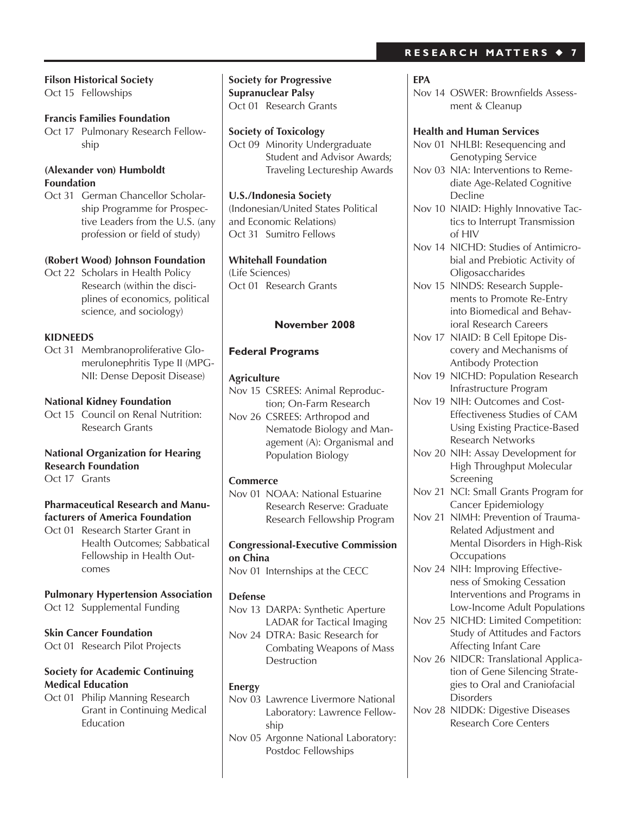#### **Filson Historical Society** Oct 15 Fellowships

**Francis Families Foundation** Oct 17 Pulmonary Research Fellowship

## **(Alexander von) Humboldt Foundation**

Oct 31 German Chancellor Scholarship Programme for Prospective Leaders from the U.S. (any profession or field of study)

#### **(Robert Wood) Johnson Foundation**

Oct 22 Scholars in Health Policy Research (within the disciplines of economics, political science, and sociology)

#### **KIDNEEDS**

Oct 31 Membranoproliferative Glomerulonephritis Type II (MPG-NII: Dense Deposit Disease)

#### **National Kidney Foundation**

Oct 15 Council on Renal Nutrition: Research Grants

# **National Organization for Hearing Research Foundation**

Oct 17 Grants

## **Pharmaceutical Research and Manufacturers of America Foundation**

Oct 01 Research Starter Grant in Health Outcomes; Sabbatical Fellowship in Health Outcomes

**Pulmonary Hypertension Association**

```
Oct 12 Supplemental Funding
```
# **Skin Cancer Foundation**

Oct 01 Research Pilot Projects

# **Society for Academic Continuing Medical Education**

Oct 01 Philip Manning Research Grant in Continuing Medical Education

**Society for Progressive Supranuclear Palsy** Oct 01 Research Grants

**Society of Toxicology** Oct 09 Minority Undergraduate Student and Advisor Awards; Traveling Lectureship Awards

**U.S./Indonesia Society** (Indonesian/United States Political and Economic Relations) Oct 31 Sumitro Fellows

## **Whitehall Foundation**

(Life Sciences) Oct 01 Research Grants

#### **November 2008**

## **Federal Programs**

#### **Agriculture**

Nov 15 CSREES: Animal Reproduction; On-Farm Research

Nov 26 CSREES: Arthropod and Nematode Biology and Management (A): Organismal and Population Biology

#### **Commerce**

Nov 01 NOAA: National Estuarine Research Reserve: Graduate Research Fellowship Program

# **Congressional-Executive Commission on China**

Nov 01 Internships at the CECC

#### **Defense**

- Nov 13 DARPA: Synthetic Aperture LADAR for Tactical Imaging
- Nov 24 DTRA: Basic Research for Combating Weapons of Mass **Destruction**

# **Energy**

- Nov 03 Lawrence Livermore National Laboratory: Lawrence Fellowship
- Nov 05 Argonne National Laboratory: Postdoc Fellowships

# **R E S E A R C H M A T T E R S** ◆ **7**

#### **EPA**

Nov 14 OSWER: Brownfields Assessment & Cleanup

#### **Health and Human Services**

- Nov 01 NHLBI: Resequencing and Genotyping Service
- Nov 03 NIA: Interventions to Remediate Age-Related Cognitive **Decline**
- Nov 10 NIAID: Highly Innovative Tactics to Interrupt Transmission of HIV
- Nov 14 NICHD: Studies of Antimicrobial and Prebiotic Activity of **Oligosaccharides**
- Nov 15 NINDS: Research Supplements to Promote Re-Entry into Biomedical and Behavioral Research Careers
- Nov 17 NIAID: B Cell Epitope Discovery and Mechanisms of Antibody Protection
- Nov 19 NICHD: Population Research Infrastructure Program
- Nov 19 NIH: Outcomes and Cost-Effectiveness Studies of CAM Using Existing Practice-Based Research Networks
- Nov 20 NIH: Assay Development for High Throughput Molecular Screening
- Nov 21 NCI: Small Grants Program for Cancer Epidemiology
- Nov 21 NIMH: Prevention of Trauma-Related Adjustment and Mental Disorders in High-Risk **Occupations**
- Nov 24 NIH: Improving Effectiveness of Smoking Cessation Interventions and Programs in Low-Income Adult Populations
- Nov 25 NICHD: Limited Competition: Study of Attitudes and Factors Affecting Infant Care
- Nov 26 NIDCR: Translational Application of Gene Silencing Strategies to Oral and Craniofacial **Disorders**
- Nov 28 NIDDK: Digestive Diseases Research Core Centers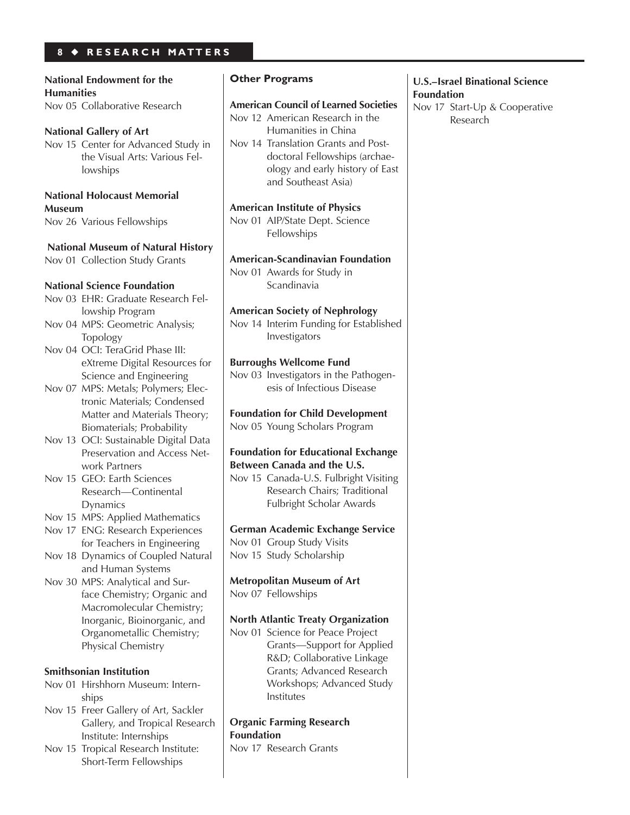# **8** ◆ **R E S E A R C H M A T T E R S**

**National Endowment for the Humanities**  Nov 05 Collaborative Research

**National Gallery of Art** Nov 15 Center for Advanced Study in the Visual Arts: Various Fellowships

**National Holocaust Memorial Museum** Nov 26 Various Fellowships

 **National Museum of Natural History** Nov 01 Collection Study Grants

#### **National Science Foundation**

- Nov 03 EHR: Graduate Research Fellowship Program
- Nov 04 MPS: Geometric Analysis; Topology

Nov 04 OCI: TeraGrid Phase III: eXtreme Digital Resources for Science and Engineering

- Nov 07 MPS: Metals; Polymers; Electronic Materials; Condensed Matter and Materials Theory; Biomaterials; Probability
- Nov 13 OCI: Sustainable Digital Data Preservation and Access Network Partners
- Nov 15 GEO: Earth Sciences Research—Continental Dynamics

Nov 15 MPS: Applied Mathematics

- Nov 17 ENG: Research Experiences for Teachers in Engineering Nov 18 Dynamics of Coupled Natural
- and Human Systems
- Nov 30 MPS: Analytical and Surface Chemistry; Organic and Macromolecular Chemistry; Inorganic, Bioinorganic, and Organometallic Chemistry; Physical Chemistry

#### **Smithsonian Institution**

- Nov 01 Hirshhorn Museum: Internships
- Nov 15 Freer Gallery of Art, Sackler Gallery, and Tropical Research Institute: Internships
- Nov 15 Tropical Research Institute: Short-Term Fellowships

# **Other Programs**

#### **American Council of Learned Societies**

Nov 12 American Research in the

Humanities in China Nov 14 Translation Grants and Postdoctoral Fellowships (archaeology and early history of East and Southeast Asia) **American Institute of Physics** Nov 01 AIP/State Dept. Science

Fellowships

# **American-Scandinavian Foundation** Nov 01 Awards for Study in

**Scandinavia** 

# **American Society of Nephrology**

Nov 14 Interim Funding for Established Investigators

#### **Burroughs Wellcome Fund**

Nov 03 Investigators in the Pathogenesis of Infectious Disease

**Foundation for Child Development** Nov 05 Young Scholars Program

#### **Foundation for Educational Exchange Between Canada and the U.S.**

Nov 15 Canada-U.S. Fulbright Visiting Research Chairs; Traditional Fulbright Scholar Awards

#### **German Academic Exchange Service** Nov 01 Group Study Visits

Nov 15 Study Scholarship

**Metropolitan Museum of Art** Nov 07 Fellowships

#### **North Atlantic Treaty Organization**

Nov 01 Science for Peace Project Grants—Support for Applied R&D; Collaborative Linkage Grants; Advanced Research Workshops; Advanced Study Institutes

## **Organic Farming Research Foundation**

Nov 17 Research Grants

#### **U.S.–Israel Binational Science Foundation**

Nov 17 Start-Up & Cooperative Research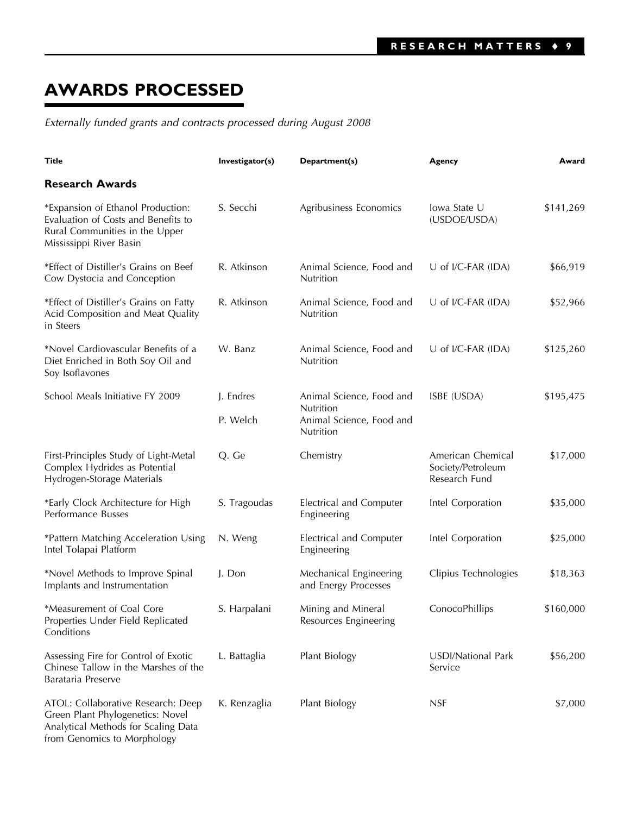# **AWARDS PROCESSED**

*Externally funded grants and contracts processed during August 2008*

| Title                                                                                                                                        | Investigator(s) | Department(s)                                      | Agency                                                  | Award     |
|----------------------------------------------------------------------------------------------------------------------------------------------|-----------------|----------------------------------------------------|---------------------------------------------------------|-----------|
| <b>Research Awards</b>                                                                                                                       |                 |                                                    |                                                         |           |
| *Expansion of Ethanol Production:<br>Evaluation of Costs and Benefits to<br>Rural Communities in the Upper<br>Mississippi River Basin        | S. Secchi       | Agribusiness Economics                             | lowa State U<br>(USDOE/USDA)                            | \$141,269 |
| *Effect of Distiller's Grains on Beef<br>Cow Dystocia and Conception                                                                         | R. Atkinson     | Animal Science, Food and<br>Nutrition              | U of I/C-FAR (IDA)                                      | \$66,919  |
| *Effect of Distiller's Grains on Fatty<br>Acid Composition and Meat Quality<br>in Steers                                                     | R. Atkinson     | Animal Science, Food and<br>Nutrition              | U of I/C-FAR (IDA)                                      | \$52,966  |
| *Novel Cardiovascular Benefits of a<br>Diet Enriched in Both Soy Oil and<br>Soy Isoflavones                                                  | W. Banz         | Animal Science, Food and<br>Nutrition              | U of I/C-FAR (IDA)                                      | \$125,260 |
| School Meals Initiative FY 2009                                                                                                              | J. Endres       | Animal Science, Food and                           | ISBE (USDA)                                             | \$195,475 |
|                                                                                                                                              | P. Welch        | Nutrition<br>Animal Science, Food and<br>Nutrition |                                                         |           |
| First-Principles Study of Light-Metal<br>Complex Hydrides as Potential<br>Hydrogen-Storage Materials                                         | Q. Ge           | Chemistry                                          | American Chemical<br>Society/Petroleum<br>Research Fund | \$17,000  |
| *Early Clock Architecture for High<br>Performance Busses                                                                                     | S. Tragoudas    | Electrical and Computer<br>Engineering             | Intel Corporation                                       | \$35,000  |
| *Pattern Matching Acceleration Using<br>Intel Tolapai Platform                                                                               | N. Weng         | Electrical and Computer<br>Engineering             | Intel Corporation                                       | \$25,000  |
| *Novel Methods to Improve Spinal<br>Implants and Instrumentation                                                                             | J. Don          | Mechanical Engineering<br>and Energy Processes     | Clipius Technologies                                    | \$18,363  |
| *Measurement of Coal Core<br>Properties Under Field Replicated<br>Conditions                                                                 | S. Harpalani    | Mining and Mineral<br>Resources Engineering        | ConocoPhillips                                          | \$160,000 |
| Assessing Fire for Control of Exotic<br>Chinese Tallow in the Marshes of the<br>Barataria Preserve                                           | L. Battaglia    | Plant Biology                                      | <b>USDI/National Park</b><br>Service                    | \$56,200  |
| ATOL: Collaborative Research: Deep<br>Green Plant Phylogenetics: Novel<br>Analytical Methods for Scaling Data<br>from Genomics to Morphology | K. Renzaglia    | Plant Biology                                      | <b>NSF</b>                                              | \$7,000   |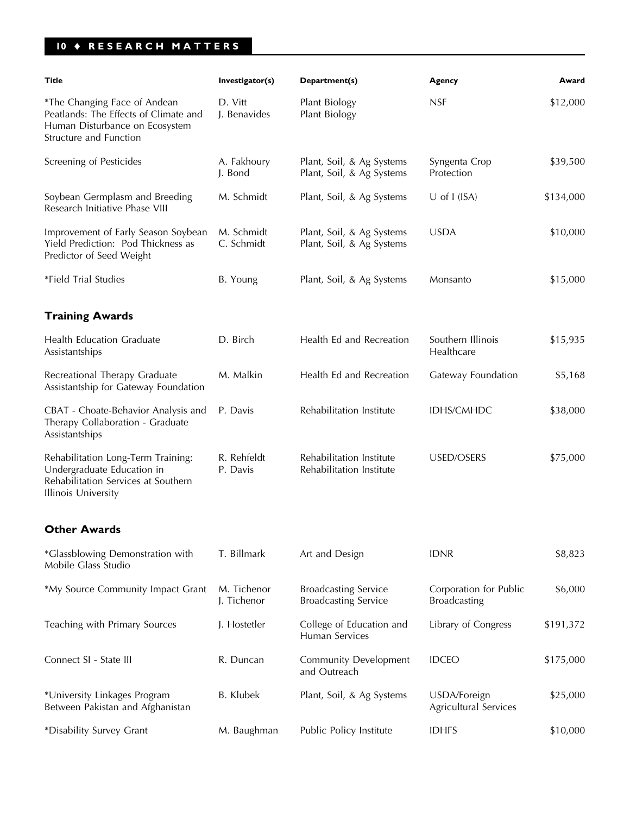# **10** ♦ **RESEARCH MATTERS**

| Title                                                                                                                                 | Investigator(s)            | Department(s)                                              | Agency                                                   | Award     |
|---------------------------------------------------------------------------------------------------------------------------------------|----------------------------|------------------------------------------------------------|----------------------------------------------------------|-----------|
| *The Changing Face of Andean<br>Peatlands: The Effects of Climate and<br>Human Disturbance on Ecosystem<br>Structure and Function     | D. Vitt<br>J. Benavides    | Plant Biology<br>Plant Biology                             | <b>NSF</b>                                               | \$12,000  |
| Screening of Pesticides                                                                                                               | A. Fakhoury<br>J. Bond     | Plant, Soil, & Ag Systems<br>Plant, Soil, & Ag Systems     | Syngenta Crop<br>Protection                              | \$39,500  |
| Soybean Germplasm and Breeding<br>Research Initiative Phase VIII                                                                      | M. Schmidt                 | Plant, Soil, & Ag Systems                                  | $U$ of I (ISA)                                           | \$134,000 |
| Improvement of Early Season Soybean<br>Yield Prediction: Pod Thickness as<br>Predictor of Seed Weight                                 | M. Schmidt<br>C. Schmidt   | Plant, Soil, & Ag Systems<br>Plant, Soil, & Ag Systems     | <b>USDA</b>                                              | \$10,000  |
| *Field Trial Studies                                                                                                                  | B. Young                   | Plant, Soil, & Ag Systems                                  | Monsanto                                                 | \$15,000  |
| <b>Training Awards</b>                                                                                                                |                            |                                                            |                                                          |           |
| Health Education Graduate<br>Assistantships                                                                                           | D. Birch                   | Health Ed and Recreation                                   | Southern Illinois<br>Healthcare                          | \$15,935  |
| Recreational Therapy Graduate<br>Assistantship for Gateway Foundation                                                                 | M. Malkin                  | Health Ed and Recreation                                   | Gateway Foundation                                       | \$5,168   |
| CBAT - Choate-Behavior Analysis and<br>Therapy Collaboration - Graduate<br>Assistantships                                             | P. Davis                   | Rehabilitation Institute                                   | IDHS/CMHDC                                               | \$38,000  |
| Rehabilitation Long-Term Training:<br>Undergraduate Education in<br>Rehabilitation Services at Southern<br><b>Illinois University</b> | R. Rehfeldt<br>P. Davis    | Rehabilitation Institute<br>Rehabilitation Institute       | USED/OSERS                                               | \$75,000  |
| <b>Other Awards</b>                                                                                                                   |                            |                                                            |                                                          |           |
| *Glassblowing Demonstration with<br>Mobile Glass Studio                                                                               | T. Billmark                | Art and Design                                             | <b>IDNR</b>                                              | \$8,823   |
| *My Source Community Impact Grant                                                                                                     | M. Tichenor<br>J. Tichenor | <b>Broadcasting Service</b><br><b>Broadcasting Service</b> | Corporation for Public<br>\$6,000<br><b>Broadcasting</b> |           |
| Teaching with Primary Sources                                                                                                         | J. Hostetler               | College of Education and<br>Human Services                 | Library of Congress<br>\$191,372                         |           |
| Connect SI - State III                                                                                                                | R. Duncan                  | <b>Community Development</b><br>and Outreach               | <b>IDCEO</b>                                             | \$175,000 |
| *University Linkages Program<br>Between Pakistan and Afghanistan                                                                      | <b>B.</b> Klubek           | Plant, Soil, & Ag Systems                                  | USDA/Foreign<br>Agricultural Services                    | \$25,000  |
| *Disability Survey Grant                                                                                                              | M. Baughman                | Public Policy Institute                                    | <b>IDHFS</b>                                             | \$10,000  |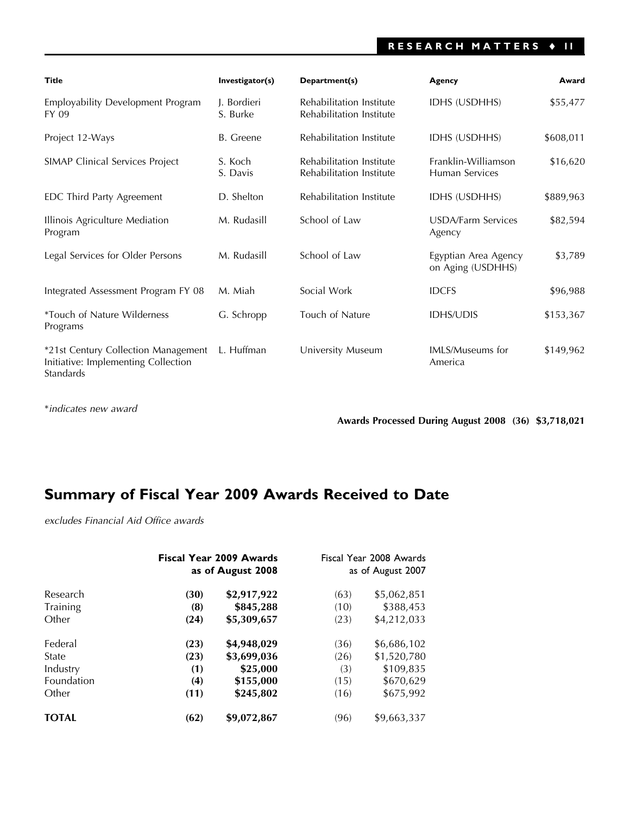# **RESEARCH MATTERS** ♦ **11**

| <b>Title</b>                                                                            | Investigator(s)         | Department(s)                                        | Agency                                    | Award     |
|-----------------------------------------------------------------------------------------|-------------------------|------------------------------------------------------|-------------------------------------------|-----------|
| Employability Development Program<br>FY 09                                              | J. Bordieri<br>S. Burke | Rehabilitation Institute<br>Rehabilitation Institute | <b>IDHS (USDHHS)</b>                      | \$55,477  |
| Project 12-Ways                                                                         | B. Greene               | Rehabilitation Institute                             | <b>IDHS (USDHHS)</b>                      | \$608,011 |
| SIMAP Clinical Services Project                                                         | S. Koch<br>S. Davis     | Rehabilitation Institute<br>Rehabilitation Institute | Franklin-Williamson<br>Human Services     | \$16,620  |
| EDC Third Party Agreement                                                               | D. Shelton              | Rehabilitation Institute                             | IDHS (USDHHS)                             | \$889,963 |
| Illinois Agriculture Mediation<br>Program                                               | M. Rudasill             | School of Law                                        | USDA/Farm Services<br>Agency              | \$82,594  |
| Legal Services for Older Persons                                                        | M. Rudasill             | School of Law                                        | Egyptian Area Agency<br>on Aging (USDHHS) | \$3,789   |
| Integrated Assessment Program FY 08                                                     | M. Miah                 | Social Work                                          | <b>IDCFS</b>                              | \$96,988  |
| <i>*Touch of Nature Wilderness</i><br>Programs                                          | G. Schropp              | Touch of Nature                                      | <b>IDHS/UDIS</b>                          | \$153,367 |
| *21st Century Collection Management<br>Initiative: Implementing Collection<br>Standards | L. Huffman              | University Museum                                    | <b>IMLS/Museums for</b><br>America        | \$149,962 |

\**indicates new award*

**Awards Processed During August 2008 (36) \$3,718,021**

# **Summary of Fiscal Year 2009 Awards Received to Date**

*excludes Financial Aid Office awards*

|              |      | <b>Fiscal Year 2009 Awards</b><br>as of August 2008 |      | Fiscal Year 2008 Awards<br>as of August 2007 |  |
|--------------|------|-----------------------------------------------------|------|----------------------------------------------|--|
| Research     | (30) | \$2,917,922                                         | (63) | \$5,062,851                                  |  |
| Training     | (8)  | \$845,288                                           | (10) | \$388,453                                    |  |
| Other        | (24) | \$5,309,657                                         | (23) | \$4,212,033                                  |  |
| Federal      | (23) | \$4,948,029                                         | (36) | \$6,686,102                                  |  |
| State        | (23) | \$3,699,036                                         | (26) | \$1,520,780                                  |  |
| Industry     | (1)  | \$25,000                                            | (3)  | \$109,835                                    |  |
| Foundation   | (4)  | \$155,000                                           | (15) | \$670,629                                    |  |
| Other        | (11) | \$245,802                                           | (16) | \$675,992                                    |  |
| <b>TOTAL</b> | (62) | \$9,072,867                                         | (96) | \$9,663,337                                  |  |